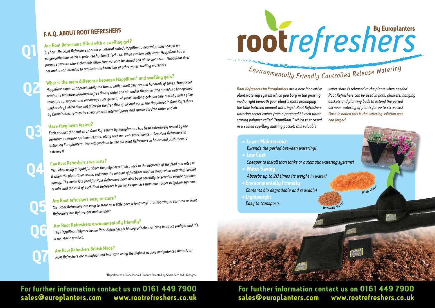## **F.A.Q. ABOUT ROOT REFRESHERS**

## **Are Root Refreshers fi lled with a swelling gel?**

*In short, No. Root Refreshers contain a material called HappiRoot a neutral product based on polyoxyethylene which is patented by Smart Tech Ltd. When swollen with water HappiRoot has a porous structure where channels allow free water to be stored and air to circulate. HappiRoot does not and is not intended to replicate the behaviour of other water swelling materials.*

## **What is the main difference between HappiRoot\* and swelling gels?**

*HappiRoot expands approximately ten times, whilst swell gels expand hundreds of times. HappiRoot retains its structure allowing the free fl ow of water and air, and at the same time provides a honeycomb structure to support and encourage root growth, whereas swelling gels become a sticky mass (like mud or clay) which does not allow for the free fl ow of air and water, the HappiRoot in Root Refreshers by Europlanters retains its structure with internal pores and spaces for free water and air.* 

### **Have they been tested?**

*Each product that makes up Root Refreshers by Europlanters has been extensively tested by the inventors to ensure optimum results, along with our own experiments – See Root Refreshers in action by Europlanters. We will continue to use our Root Refreshers in house and push them to extremes!*

### **Can Root Refreshers save costs?**

*Yes, when using a liquid fertilizer the polymer will also lock in the nutrients of the feed and release it when the plant takes water, reducing the amount of fertilizer washed away when watering, saving money. The materials used for Root Refreshers have also been carefully selected to ensure optimum results and the cost of each Root Refresher is far less expensive than most other irrigation systems.*

## **Are Root refreshers easy to store?**

*Yes, Root Refreshers are easy to store as a little goes a long way! Transporting is easy too as Root Refreshers are lightweight and compact.*

## **Are Root Refreshers environmentally friendly?**

*The HappiRoot Polymer inside Root Refreshers is biodegradable over time in direct sunlight and it's a non-toxic product.*

## **Are Root Refreshers British Made?**

*Root Refreshers are manufactured in Britain using the highest quality and patented materials.*

*Root Refreshers by Europlanters are a new innovative plant watering system which you bury in the growing media right beneath your plant's roots prolonging the time between manual waterings! Root Refreshers watering secret comes from a patented hi-tech water storing polymer called 'HappiRoot'\* which is encased in a sealed capillary matting pocket, this valuable water store is released to the plants when needed. Root Refreshers can be used in pots, planters, hanging baskets and planting beds to extend the period between watering of plants for up to six weeks! Once installed this is the watering solution you can forget!*

**• Water Saving**



**• Lightweight**

**For further information contact us on 0161 449 7900 sales@europlanters.com www.rootrefreshers.co.uk**

## **For further information contact us on 0161 449 7900 sales@europlanters.com www.rootrefreshers.co.uk**

**Q1**

**Q2**

**Q3**

**Q4**

**Q5**

**Q6**

**Q7**

\*HappiRoot is a Trade Marked Product Patented by Smart Tech Ltd., Glasgow.



## Environmentally Friendly Controlled Release Watering